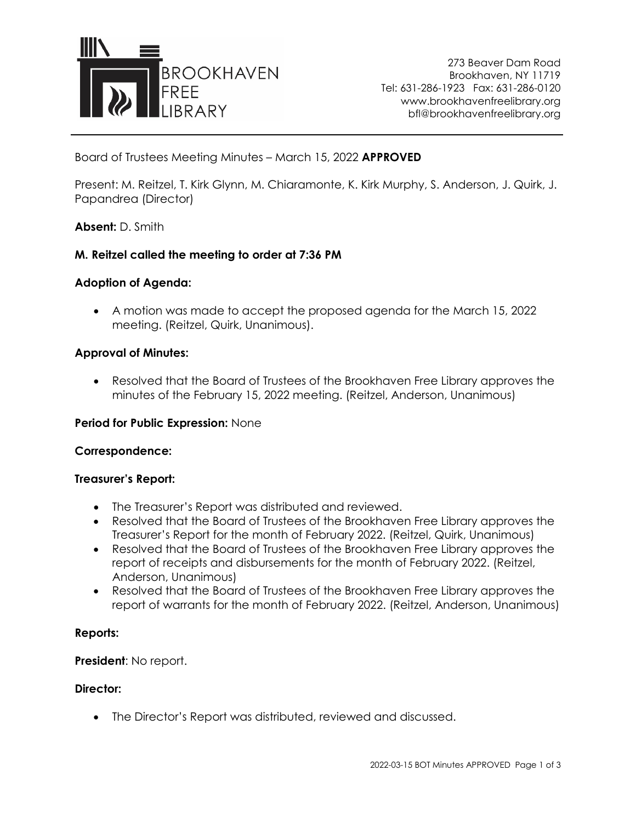

273 Beaver Dam Road Brookhaven, NY 11719 Tel: 631-286-1923 Fax: 631-286-0120 www.brookhavenfreelibrary.org bfl@brookhavenfreelibrary.org

Board of Trustees Meeting Minutes – March 15, 2022 **APPROVED**

Present: M. Reitzel, T. Kirk Glynn, M. Chiaramonte, K. Kirk Murphy, S. Anderson, J. Quirk, J. Papandrea (Director)

### **Absent:** D. Smith

## **M. Reitzel called the meeting to order at 7:36 PM**

#### **Adoption of Agenda:**

• A motion was made to accept the proposed agenda for the March 15, 2022 meeting. (Reitzel, Quirk, Unanimous).

#### **Approval of Minutes:**

• Resolved that the Board of Trustees of the Brookhaven Free Library approves the minutes of the February 15, 2022 meeting. (Reitzel, Anderson, Unanimous)

#### **Period for Public Expression:** None

#### **Correspondence:**

#### **Treasurer's Report:**

- The Treasurer's Report was distributed and reviewed.
- Resolved that the Board of Trustees of the Brookhaven Free Library approves the Treasurer's Report for the month of February 2022. (Reitzel, Quirk, Unanimous)
- Resolved that the Board of Trustees of the Brookhaven Free Library approves the report of receipts and disbursements for the month of February 2022. (Reitzel, Anderson, Unanimous)
- Resolved that the Board of Trustees of the Brookhaven Free Library approves the report of warrants for the month of February 2022. (Reitzel, Anderson, Unanimous)

#### **Reports:**

## **President**: No report.

#### **Director:**

• The Director's Report was distributed, reviewed and discussed.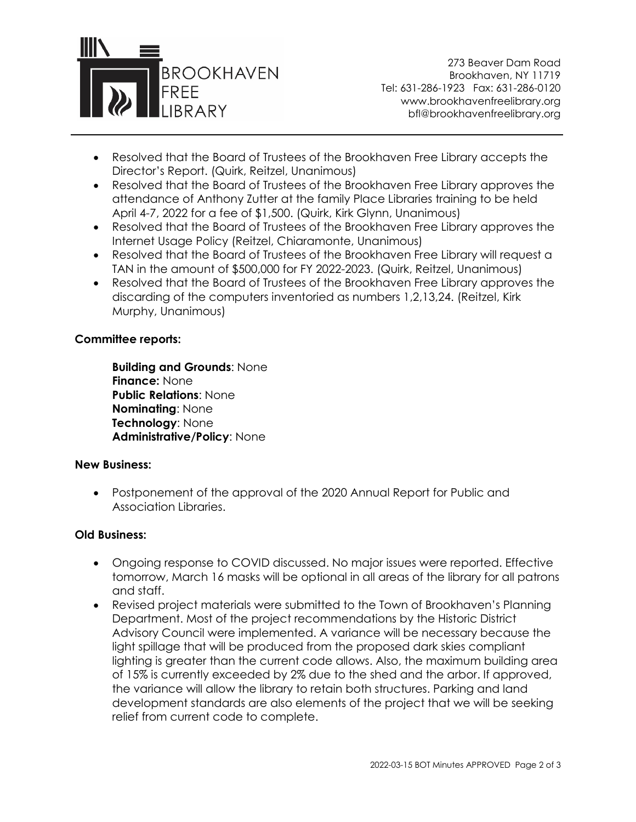

273 Beaver Dam Road Brookhaven, NY 11719 Tel: 631-286-1923 Fax: 631-286-0120 www.brookhavenfreelibrary.org bfl@brookhavenfreelibrary.org

- Resolved that the Board of Trustees of the Brookhaven Free Library accepts the Director's Report. (Quirk, Reitzel, Unanimous)
- Resolved that the Board of Trustees of the Brookhaven Free Library approves the attendance of Anthony Zutter at the family Place Libraries training to be held April 4-7, 2022 for a fee of \$1,500. (Quirk, Kirk Glynn, Unanimous)
- Resolved that the Board of Trustees of the Brookhaven Free Library approves the Internet Usage Policy (Reitzel, Chiaramonte, Unanimous)
- Resolved that the Board of Trustees of the Brookhaven Free Library will request a TAN in the amount of \$500,000 for FY 2022-2023. (Quirk, Reitzel, Unanimous)
- Resolved that the Board of Trustees of the Brookhaven Free Library approves the discarding of the computers inventoried as numbers 1,2,13,24. (Reitzel, Kirk Murphy, Unanimous)

# **Committee reports:**

**Building and Grounds**: None **Finance:** None **Public Relations**: None **Nominating**: None **Technology**: None **Administrative/Policy**: None

## **New Business:**

• Postponement of the approval of the 2020 Annual Report for Public and Association Libraries.

## **Old Business:**

- Ongoing response to COVID discussed. No major issues were reported. Effective tomorrow, March 16 masks will be optional in all areas of the library for all patrons and staff.
- Revised project materials were submitted to the Town of Brookhaven's Planning Department. Most of the project recommendations by the Historic District Advisory Council were implemented. A variance will be necessary because the light spillage that will be produced from the proposed dark skies compliant lighting is greater than the current code allows. Also, the maximum building area of 15% is currently exceeded by 2% due to the shed and the arbor. If approved, the variance will allow the library to retain both structures. Parking and land development standards are also elements of the project that we will be seeking relief from current code to complete.